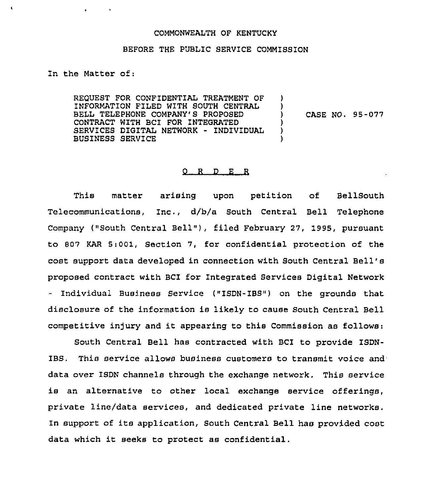## COMMONWEALTH OF KENTUCKY

## BEFORE THE PUBLIC SERVICE COMMISSION

In the Matter of:

**Contract Contract** 

 $\blacktriangleleft$ 

REQUEST FOR CONFIDENTIAL TREATMENT OF INFORMATION FILED WITH SOUTH CENTRAL BELL TELEPHONE COMPANY'S PROPOSED CONTRACT WITH BCI FOR 1NTEGRATED SERVICES DIGITAL NETWORK - INDIVIDUAL BUSINESS SERVICE ) ) ) CASE NO. 95-077 ) ) )

## 0 R <sup>D</sup> E R

This matter arising upon petition of BellSouth  $T$ elecommunications, Inc.,  $d/b/a$  South Central Bell Telephone Company ("South Central Bell" ), filed February 27, 1995, pursuant to 807 KAR 5:001, Section 7, for confidential protection of the cost support data developed in connection with South Central Bell' proposed contract with BCI for Integrated Services Digital Network - Individual Business Service ("ISDN-IBS") on the grounds that disclosure of the information is likely to cause South Central Bell competitive injury and it appearing to this Commission as follows:

South Central Bell has contracted with BCI to provide ISDN-IBS. This service allows business customers to transmit voice and data over ISDN channels through the exchange network. This service is an alternative to other local exchange service offerings, private line/data services, and dedicated private line networks. In support of its application, South Central Bell has provided cost data which it seeks to protect as confidential.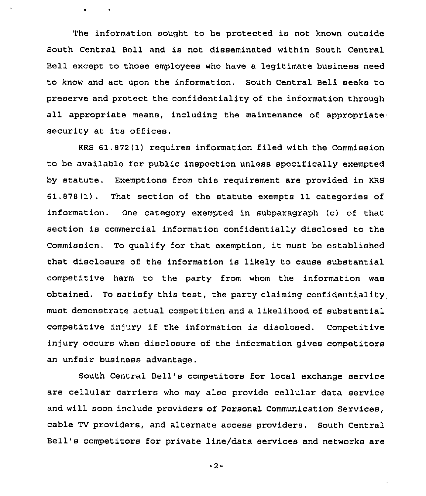The information sought to be protected is not known outside South central Bell and is not disseminated within South Central Bell except to those employees who have a legitimate business need to know and act upon the information. South Central Bell seeks to preserve and protect the confidentiality of the information through all appropriate means, including the maintenance of appropriate security at its offices.

 $\sim 100$   $\mu$ 

KRS 61.872(1) requires information filed with the Commission to be available for public inspection unless specifically exempted by statute. Exemptions from this requirement are provided in KRS 61.878(1). That section of the statute exempts 11 categories of information. One category exempted in subparagraph (c) of that section is commercial information confidentially disclosed to the Commission. To qualify for that exemption, it must be established that disclosure of the information is likely to cause substantial competitive harm to the party from whom the information was obtained. To satisfy this test, the party claiming confidentiality must demonstrate actual competition and a likelihood of substantial competitive injury if the information is disclosed. Competitive injury occurs when disclosure of the information gives competitors an unfair business advantage.

South Central Bell's competitors for local exchange service are cellular carriers who may also provide cellular data service and will soon include providers of personal Communication Services, cable TV providers, and alternate access providers. South Central Bell's competitors for private line/data services and networks are

 $-2-$